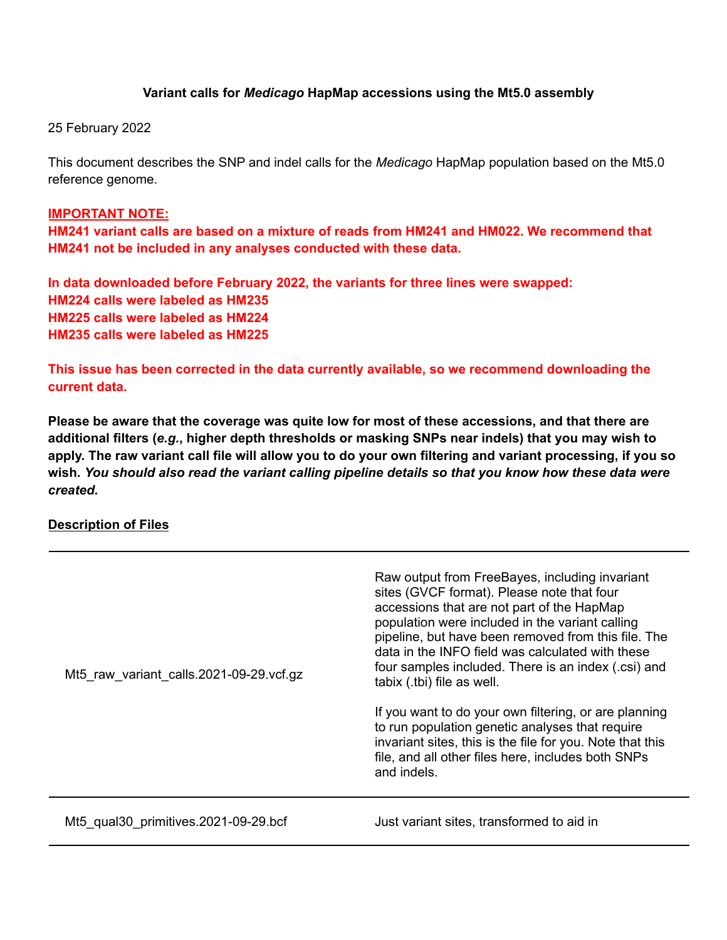## **Variant calls for** *Medicago* **HapMap accessions using the Mt5.0 assembly**

25 February 2022

This document describes the SNP and indel calls for the *Medicago* HapMap population based on the Mt5.0 reference genome.

#### **IMPORTANT NOTE:**

**HM241 variant calls are based on a mixture of reads from HM241 and HM022. We recommend that HM241 not be included in any analyses conducted with these data.**

**In data downloaded before February 2022, the variants for three lines were swapped: HM224 calls were labeled as HM235 HM225 calls were labeled as HM224 HM235 calls were labeled as HM225**

**This issue has been corrected in the data currently available, so we recommend downloading the current data.**

**Please be aware that the coverage was quite low for most of these accessions, and that there are** additional filters (e.g., higher depth thresholds or masking SNPs near indels) that you may wish to apply. The raw variant call file will allow you to do your own filtering and variant processing, if you so wish. You should also read the variant calling pipeline details so that you know how these data were *created.*

#### **Description of Files**

| Mt5 raw variant calls.2021-09-29.vcf.gz | Raw output from FreeBayes, including invariant<br>sites (GVCF format). Please note that four<br>accessions that are not part of the HapMap<br>population were included in the variant calling<br>pipeline, but have been removed from this file. The<br>data in the INFO field was calculated with these |
|-----------------------------------------|----------------------------------------------------------------------------------------------------------------------------------------------------------------------------------------------------------------------------------------------------------------------------------------------------------|
|                                         | four samples included. There is an index (.csi) and<br>tabix (.tbi) file as well.                                                                                                                                                                                                                        |
|                                         | If you want to do your own filtering, or are planning<br>to run population genetic analyses that require<br>invariant sites, this is the file for you. Note that this<br>file, and all other files here, includes both SNPs<br>and indels.                                                               |
| Mt5 qual30 primitives.2021-09-29.bcf    | Just variant sites, transformed to aid in                                                                                                                                                                                                                                                                |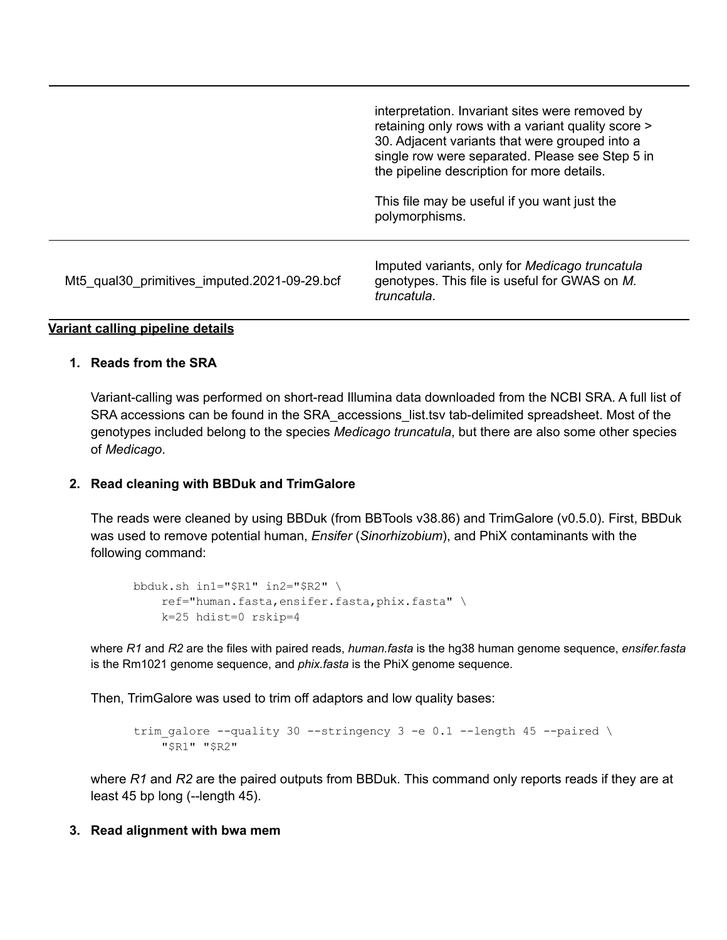|                                              | interpretation. Invariant sites were removed by<br>retaining only rows with a variant quality score ><br>30. Adjacent variants that were grouped into a<br>single row were separated. Please see Step 5 in<br>the pipeline description for more details.<br>This file may be useful if you want just the |
|----------------------------------------------|----------------------------------------------------------------------------------------------------------------------------------------------------------------------------------------------------------------------------------------------------------------------------------------------------------|
| Mt5_qual30_primitives_imputed.2021-09-29.bcf | polymorphisms.<br>Imputed variants, only for Medicago truncatula<br>genotypes. This file is useful for GWAS on M.<br>truncatula.                                                                                                                                                                         |

# **Variant calling pipeline details**

#### **1. Reads from the SRA**

Variant-calling was performed on short-read Illumina data downloaded from the NCBI SRA. A full list of SRA accessions can be found in the SRA\_accessions\_list.tsv tab-delimited spreadsheet. Most of the genotypes included belong to the species *Medicago truncatula*, but there are also some other species of *Medicago*.

## **2. Read cleaning with BBDuk and TrimGalore**

The reads were cleaned by using BBDuk (from BBTools v38.86) and TrimGalore (v0.5.0). First, BBDuk was used to remove potential human, *Ensifer* (*Sinorhizobium*), and PhiX contaminants with the following command:

```
bbduk.sh in1="$R1" in2="$R2" \
    ref="human.fasta,ensifer.fasta,phix.fasta" \
   k=25 hdist=0 rskip=4
```
where *R1* and *R2* are the files with paired reads, *human.fasta* is the hg38 human genome sequence, *ensifer.fasta* is the Rm1021 genome sequence, and *phix.fasta* is the PhiX genome sequence.

Then, TrimGalore was used to trim off adaptors and low quality bases:

```
trim galore --quality 30 --stringency 3 -e 0.1 --length 45 --paired \setminus"$R1" "$R2"
```
where *R1* and *R2* are the paired outputs from BBDuk. This command only reports reads if they are at least 45 bp long (--length 45).

#### **3. Read alignment with bwa mem**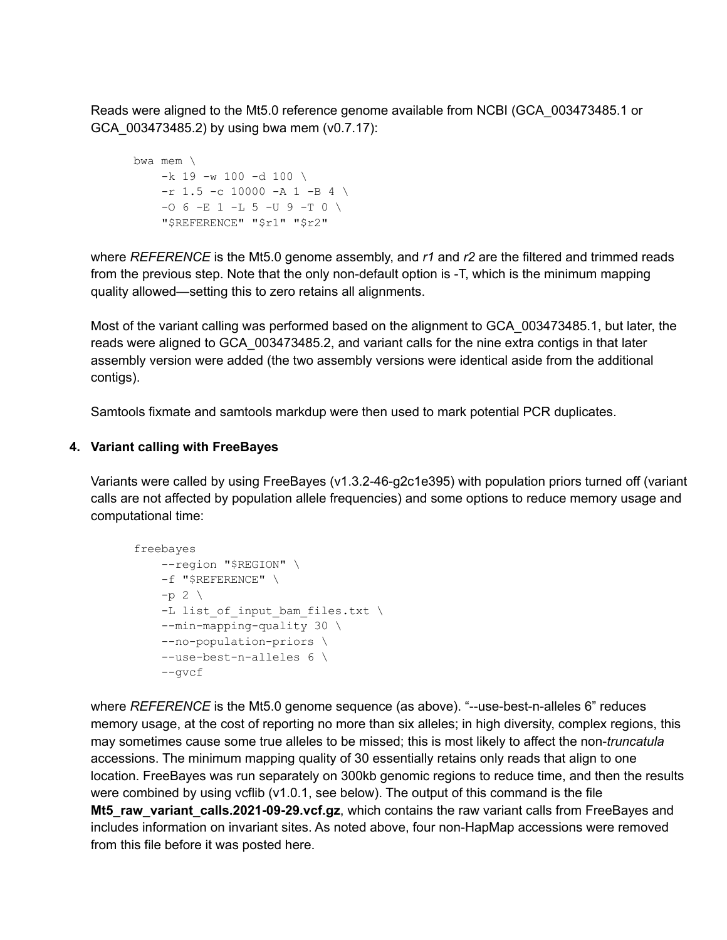Reads were aligned to the Mt5.0 reference genome available from NCBI (GCA\_003473485.1 or GCA\_003473485.2) by using bwa mem (v0.7.17):

```
bwa mem \
    -k 19 -w 100 -d 100 \
    -r 1.5 -c 10000 -A 1 -B 4 \
    -0 6 -E 1 -L 5 -U 9 -T 0 \
    "$REFERENCE" "$r1" "$r2"
```
where *REFERENCE* is the Mt5.0 genome assembly, and *r1* and *r2* are the filtered and trimmed reads from the previous step. Note that the only non-default option is -T, which is the minimum mapping quality allowed—setting this to zero retains all alignments.

Most of the variant calling was performed based on the alignment to GCA\_003473485.1, but later, the reads were aligned to GCA\_003473485.2, and variant calls for the nine extra contigs in that later assembly version were added (the two assembly versions were identical aside from the additional contigs).

Samtools fixmate and samtools markdup were then used to mark potential PCR duplicates.

## **4. Variant calling with FreeBayes**

Variants were called by using FreeBayes (v1.3.2-46-g2c1e395) with population priors turned off (variant calls are not affected by population allele frequencies) and some options to reduce memory usage and computational time:

```
freebayes
    --region "$REGION" \
   -f "$REFERENCE" \
    -p 2 \setminus-L list of input bam files.txt \setminus--min-mapping-quality 30 \
    --no-population-priors \
    --use-best-n-alleles 6 \
    --gvcf
```
where *REFERENCE* is the Mt5.0 genome sequence (as above). "--use-best-n-alleles 6" reduces memory usage, at the cost of reporting no more than six alleles; in high diversity, complex regions, this may sometimes cause some true alleles to be missed; this is most likely to affect the non-*truncatula* accessions. The minimum mapping quality of 30 essentially retains only reads that align to one location. FreeBayes was run separately on 300kb genomic regions to reduce time, and then the results were combined by using vcflib (v1.0.1, see below). The output of this command is the file **Mt5\_raw\_variant\_calls.2021-09-29.vcf.gz**, which contains the raw variant calls from FreeBayes and includes information on invariant sites. As noted above, four non-HapMap accessions were removed from this file before it was posted here.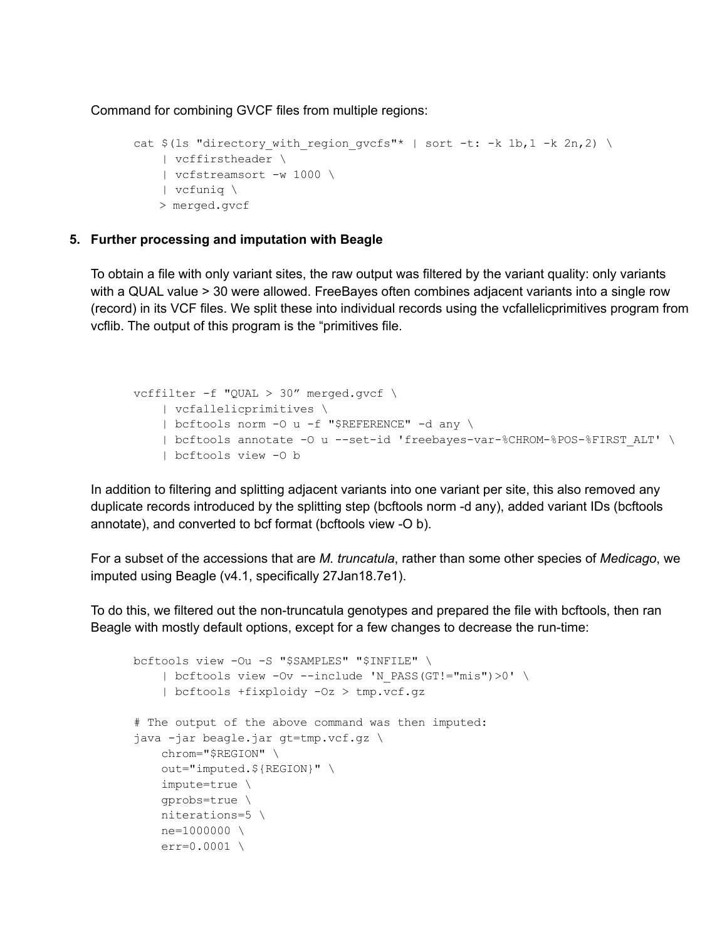Command for combining GVCF files from multiple regions:

```
cat $(ls "directory with region gvcfs"* | sort -t: -k 1b,1 -k 2n,2) \
  | vcffirstheader \
   | vcfstreamsort -w 1000 \
   | vcfuniq \
   > merged.gvcf
```
## **5. Further processing and imputation with Beagle**

To obtain a file with only variant sites, the raw output was filtered by the variant quality: only variants with a QUAL value > 30 were allowed. FreeBayes often combines adjacent variants into a single row (record) in its VCF files. We split these into individual records using the vcfallelicprimitives program from vcflib. The output of this program is the "primitives file.

```
vcffilter -f "QUAL > 30" merged.gvcf \
   | vcfallelicprimitives \
   | bcftools norm -O u -f "$REFERENCE" -d any \
    | bcftools annotate -O u --set-id 'freebayes-var-%CHROM-%POS-%FIRST_ALT' \
    | bcftools view -O b
```
In addition to filtering and splitting adjacent variants into one variant per site, this also removed any duplicate records introduced by the splitting step (bcftools norm -d any), added variant IDs (bcftools annotate), and converted to bcf format (bcftools view -O b).

For a subset of the accessions that are *M. truncatula*, rather than some other species of *Medicago*, we imputed using Beagle (v4.1, specifically 27Jan18.7e1).

To do this, we filtered out the non-truncatula genotypes and prepared the file with bcftools, then ran Beagle with mostly default options, except for a few changes to decrease the run-time:

```
bcftools view -Ou -S "$SAMPLES" "$INFILE" \
    | bcftools view -Ov --include 'N PASS(GT!="mis")>0' \
    | bcftools +fixploidy -Oz > tmp.vcf.gz
# The output of the above command was then imputed:
java -jar beagle.jar gt=tmp.vcf.gz \
    chrom="$REGION" \
    out="imputed.${REGION}" \
    impute=true \
    gprobs=true \
    niterations=5 \
    ne=1000000 \ \ \ \ \ \ \ \err=0.0001
```